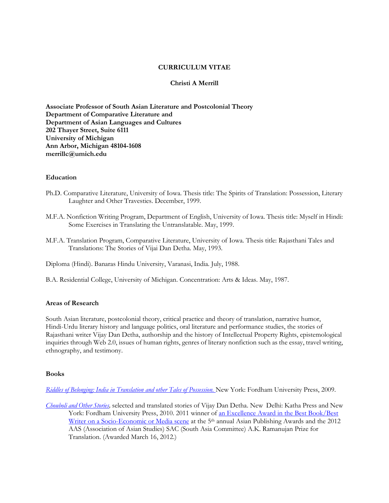# **CURRICULUM VITAE**

### **Christi A Merrill**

**Associate Professor of South Asian Literature and Postcolonial Theory Department of Comparative Literature and Department of Asian Languages and Cultures 202 Thayer Street, Suite 6111 University of Michigan Ann Arbor, Michigan 48104-1608 merrillc@umich.edu**

### **Education**

- Ph.D. Comparative Literature, University of Iowa. Thesis title: The Spirits of Translation: Possession, Literary Laughter and Other Travesties. December, 1999.
- M.F.A. Nonfiction Writing Program, Department of English, University of Iowa. Thesis title: Myself in Hindi: Some Exercises in Translating the Untranslatable. May, 1999.
- M.F.A. Translation Program, Comparative Literature, University of Iowa. Thesis title: Rajasthani Tales and Translations: The Stories of Vijai Dan Detha. May, 1993.

Diploma (Hindi). Banaras Hindu University, Varanasi, India. July, 1988.

B.A. Residential College, University of Michigan. Concentration: Arts & Ideas. May, 1987.

### **Areas of Research**

South Asian literature, postcolonial theory, critical practice and theory of translation, narrative humor, Hindi-Urdu literary history and language politics, oral literature and performance studies, the stories of Rajasthani writer Vijay Dan Detha, authorship and the history of Intellectual Property Rights, epistemological inquiries through Web 2.0, issues of human rights, genres of literary nonfiction such as the essay, travel writing, ethnography, and testimony.

### **Books**

*[Riddles of Belonging: India in Translation](http://www.fordhampress.com/detail.html?session=74c6bb38642d72bc45fa9f72f12bab5b&cat=4&id=9780823229550) and other Tales of Possession.* New York: Fordham University Press, 2009.

*[Chouboli and Other Stories,](http://www.fordhampress.com/detail.html?session=e273fa5270c4e71918882eb956b4728f&id=9780823234011)* selected and translated stories of Vijay Dan Detha. New Delhi: Katha Press and New York: Fordham University Press, 2010. 2011 winner of an Excellence Award in the Best Book/Best Writer on a [Socio-Economic or Media scene](http://www.katha.org/site/media-centre/press-releases/asian-publishing-awards-2011) at the 5<sup>th</sup> annual Asian Publishing Awards and the 2012 AAS (Association of Asian Studies) SAC (South Asia Committee) A.K. Ramanujan Prize for Translation. (Awarded March 16, 2012.)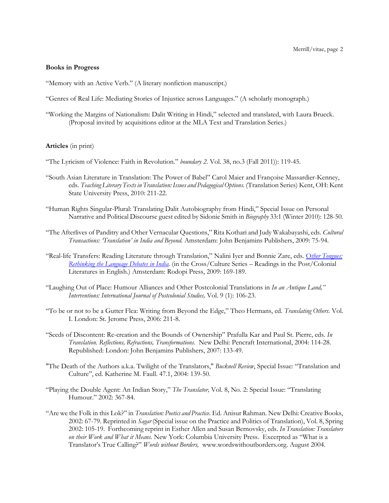#### **Books in Progress**

"Memory with an Active Verb." (A literary nonfiction manuscript.)

- "Genres of Real Life: Mediating Stories of Injustice across Languages." (A scholarly monograph.)
- "Working the Margins of Nationalism: Dalit Writing in Hindi," selected and translated, with Laura Brueck. (Proposal invited by acquisitions editor at the MLA Text and Translation Series.)

#### **Articles** (in print)

- "The Lyricism of Violence: Faith in Revolution." *boundary 2.* Vol. 38, no.3 (Fall 2011)): 119-45.
- "South Asian Literature in Translation: The Power of Babel" Carol Maier and Françoise Massardier-Kenney, eds. *Teaching Literary Texts in Translation: Issues and Pedagogical Options.* (Translation Series) Kent, OH: Kent State University Press, 2010: 211-22.
- "Human Rights Singular-Plural: Translating Dalit Autobiography from Hindi," Special Issue on Personal Narrative and Political Discourse guest edited by Sidonie Smith in *Biography* 33:1 (Winter 2010): 128-50*.*
- "The Afterlives of Panditry and Other Vernacular Questions," Rita Kothari and Judy Wakabayashi, eds. *Cultural Transactions: 'Translation' in India and Beyond.* Amsterdam: John Benjamins Publishers, 2009: 75-94.
- "Real-life Transfers: Reading Literature through Translation," Nalini Iyer and Bonnie Zare, eds. O*[ther Tongues:](http://www.rodopi.nl/functions/search.asp?BookId=CC+99)  [Rethinking the Language Debates in India.](http://www.rodopi.nl/functions/search.asp?BookId=CC+99)* (in the Cross/Culture Series – Readings in the Post/Colonial Literatures in English.) Amsterdam: Rodopi Press, 2009: 169-189.
- "Laughing Out of Place: Humour Alliances and Other Postcolonial Translations in *In an Antique Land," Interventions: International Journal of Postcolonial Studies,* Vol. 9 (1): 106-23.
- "To be or not to be a Gutter Flea: Writing from Beyond the Edge," Theo Hermans, ed. *Translating Others.* Vol. I. London: St. Jerome Press, 2006: 211-8.
- "Seeds of Discontent: Re-creation and the Bounds of Ownership" Prafulla Kar and Paul St. Pierre, eds. *In Translation. Reflections, Refractions, Transformations.* New Delhi: Pencraft International, 2004: 114-28. Republished: London: John Benjamins Publishers, 2007: 133-49.
- "The Death of the Authors a.k.a. Twilight of the Translators," *Bucknell Review*, Special Issue: "Translation and Culture", ed. Katherine M. Faull. 47.1, 2004: 139-50.
- "Playing the Double Agent: An Indian Story," *The Translator,* Vol. 8, No. 2: Special Issue: "Translating Humour." 2002: 367-84.
- "Are we the Folk in this Lok?" in *Translation: Poetics and Practice.* Ed. Anisur Rahman. New Delhi: Creative Books, 2002: 67-79. Reprinted in *Sagar* (Special issue on the Practice and Politics of Translation), Vol. 8, Spring 2002: 105-19. Forthcoming reprint in Esther Allen and Susan Bernovsky, eds. *In Translation: Translators on their Work and What it Means.* New York: Columbia University Press. Excerpted as "What is a Translator's True Calling?" *Words without Borders,* www.wordswithoutborders.org. August 2004.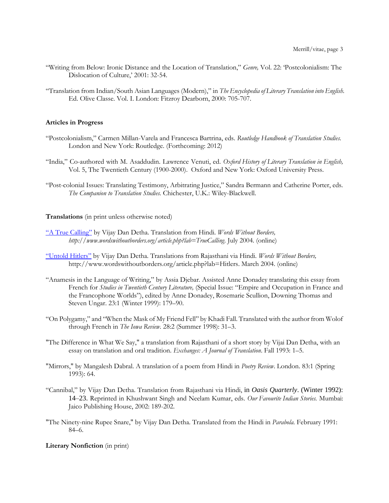- "Writing from Below: Ironic Distance and the Location of Translation," *Genre,* Vol. 22: 'Postcolonialism: The Dislocation of Culture,' 2001: 32-54.
- "Translation from Indian/South Asian Languages (Modern)," in *The Encyclopedia of Literary Translation into English.*  Ed. Olive Classe. Vol. I. London: Fitzroy Dearborn, 2000: 705-707.

#### **Articles in Progress**

- "Postcolonialism," Carmen Millan-Varela and Francesca Bartrina, eds. *Routledge Handbook of Translation Studies.*  London and New York: Routledge. (Forthcoming: 2012)
- "India," Co-authored with M. Asaddudin. Lawrence Venuti, ed. *Oxford History of Literary Translation in English,*  Vol. 5, The Twentieth Century (1900-2000). Oxford and New York: Oxford University Press.
- "Post-colonial Issues: Translating Testimony, Arbitrating Justice," Sandra Bermann and Catherine Porter, eds. *The Companion to Translation Studies.* Chichester, U.K.: Wiley-Blackwell.

#### **Translations** (in print unless otherwise noted)

- ["A True Calling"](http://www.wordswithoutborders.org/article.php?lab=TrueCalling) by Vijay Dan Detha. Translation from Hindi. *Words Without Borders, http://www.wordswithoutborders.org/article.php?lab=TrueCalling*. July 2004. (online)
- ["Untold Hitlers"](http://www.wordswithoutborders.org/article.php?lab=Hitlers) by Vijay Dan Detha. Translations from Rajasthani via Hindi. *Words Without Borders,* http://www.wordswithoutborders.org/article.php?lab=Hitlers. March 2004. (online)
- "Anamesis in the Language of Writing," by Assia Djebar. Assisted Anne Donadey translating this essay from French for *Studies in Twentieth Century Literature,* (Special Issue: "Empire and Occupation in France and the Francophone Worlds"), edited by Anne Donadey, Rosemarie Scullion, Downing Thomas and Steven Ungar. 23:1 (Winter 1999): 179–90.
- "On Polygamy," and "When the Mask of My Friend Fell" by Khadi Fall. Translated with the author from Wolof through French in *The Iowa Review.* 28:2 (Summer 1998): 31–3.
- "The Difference in What We Say," a translation from Rajasthani of a short story by Vijai Dan Detha, with an essay on translation and oral tradition. *Exchanges: A Journal of Translation*. Fall 1993: 1–5.
- "Mirrors," by Mangalesh Dabral. A translation of a poem from Hindi in *Poetry Review*. London. 83:1 (Spring 1993): 64.
- "Cannibal," by Vijay Dan Detha. Translation from Rajasthani via Hindi, in *Oasis Quarterly*. (Winter 1992): 14–23. Reprinted in Khushwant Singh and Neelam Kumar, eds. *Our Favourite Indian Stories.* Mumbai: Jaico Publishing House, 2002: 189-202.
- "The Ninety-nine Rupee Snare," by Vijay Dan Detha. Translated from the Hindi in *Parabola.* February 1991: 84–6.

**Literary Nonfiction** (in print)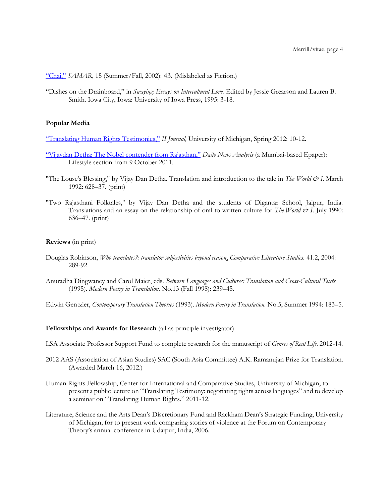["Chai,"](http://www.samarmagazine.org/archive/article.php?id=119) *SAMAR*, 15 (Summer/Fall, 2002): 43. (Mislabeled as Fiction.)

"Dishes on the Drainboard," in *Swaying: Essays on Intercultural Love.* Edited by Jessie Grearson and Lauren B. Smith. Iowa City, Iowa: University of Iowa Press, 1995: 3-18.

### **Popular Media**

["Translating Human Rights Testimonies,"](http://www.lsa.umich.edu/UMICH/ii/Home/II%20Journal/Documents/2012spring_iijournal_article3_merrill.pdf) *II Journal,* University of Michigan, Spring 2012: 10-12.

- ["Vijaydan Detha: The Nobel contender from Rajasthan,"](http://www.dnaindia.com/lifestyle/report_vijaydan-detha-the-nobel-contender-from-rajasthan_1596594) *Daily News Analysis* (a Mumbai-based Epaper): Lifestyle section from 9 October 2011.
- "The Louse's Blessing," by Vijay Dan Detha. Translation and introduction to the tale in *The World & I*. March 1992: 628–37. (print)
- "Two Rajasthani Folktales," by Vijay Dan Detha and the students of Digantar School, Jaipur, India. Translations and an essay on the relationship of oral to written culture for *The World & I*. July 1990: 636–47. (print)

### **Reviews** (in print)

- Douglas Robinson, *Who translates?: translator subjectivities beyond reason*, *Comparative Literature Studies.* 41.2, 2004: 289-92.
- Anuradha Dingwaney and Carol Maier, eds. *Between Languages and Cultures: Translation and Cross-Cultural Texts* (1995). *Modern Poetry in Translation.* No.13 (Fall 1998): 239–45.

Edwin Gentzler, *Contemporary Translation Theories* (1993). *Modern Poetry in Translation.* No.5, Summer 1994: 183–5.

## **Fellowships and Awards for Research** (all as principle investigator)

LSA Associate Professor Support Fund to complete research for the manuscript of *Genres of Real Life.* 2012-14.

- 2012 AAS (Association of Asian Studies) SAC (South Asia Committee) A.K. Ramanujan Prize for Translation. (Awarded March 16, 2012.)
- Human Rights Fellowship, Center for International and Comparative Studies, University of Michigan, to present a public lecture on "Translating Testimony: negotiating rights across languages" and to develop a seminar on "Translating Human Rights." 2011-12.
- Literature, Science and the Arts Dean's Discretionary Fund and Rackham Dean's Strategic Funding, University of Michigan, for to present work comparing stories of violence at the Forum on Contemporary Theory's annual conference in Udaipur, India, 2006.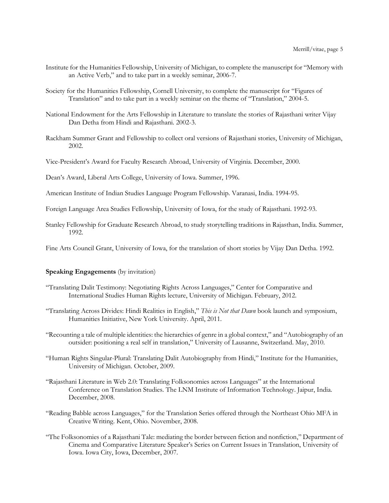- Institute for the Humanities Fellowship, University of Michigan, to complete the manuscript for "Memory with an Active Verb," and to take part in a weekly seminar, 2006-7.
- Society for the Humanities Fellowship, Cornell University, to complete the manuscript for "Figures of Translation" and to take part in a weekly seminar on the theme of "Translation," 2004-5.
- National Endowment for the Arts Fellowship in Literature to translate the stories of Rajasthani writer Vijay Dan Detha from Hindi and Rajasthani. 2002-3.
- Rackham Summer Grant and Fellowship to collect oral versions of Rajasthani stories, University of Michigan, 2002.
- Vice-President's Award for Faculty Research Abroad, University of Virginia. December, 2000.
- Dean's Award, Liberal Arts College, University of Iowa. Summer, 1996.
- American Institute of Indian Studies Language Program Fellowship. Varanasi, India. 1994-95.
- Foreign Language Area Studies Fellowship, University of Iowa, for the study of Rajasthani. 1992-93.
- Stanley Fellowship for Graduate Research Abroad, to study storytelling traditions in Rajasthan, India. Summer, 1992.

Fine Arts Council Grant, University of Iowa, for the translation of short stories by Vijay Dan Detha. 1992.

#### **Speaking Engagements** (by invitation)

- "Translating Dalit Testimony: Negotiating Rights Across Languages," Center for Comparative and International Studies Human Rights lecture, University of Michigan. February, 2012.
- "Translating Across Divides: Hindi Realities in English," *This is Not that Dawn* book launch and symposium, Humanities Initiative, New York University. April, 2011.
- "Recounting a tale of multiple identities: the hierarchies of genre in a global context," and "Autobiography of an outsider: positioning a real self in translation," University of Lausanne, Switzerland. May, 2010.
- "Human Rights Singular-Plural: Translating Dalit Autobiography from Hindi," Institute for the Humanities, University of Michigan. October, 2009.
- "Rajasthani Literature in Web 2.0: Translating Folksonomies across Languages" at the International Conference on Translation Studies. The LNM Institute of Information Technology. Jaipur, India. December, 2008.
- "Reading Babble across Languages," for the Translation Series offered through the Northeast Ohio MFA in Creative Writing. Kent, Ohio. November, 2008.
- "The Folksonomies of a Rajasthani Tale: mediating the border between fiction and nonfiction," Department of Cinema and Comparative Literature Speaker's Series on Current Issues in Translation, University of Iowa. Iowa City, Iowa, December, 2007.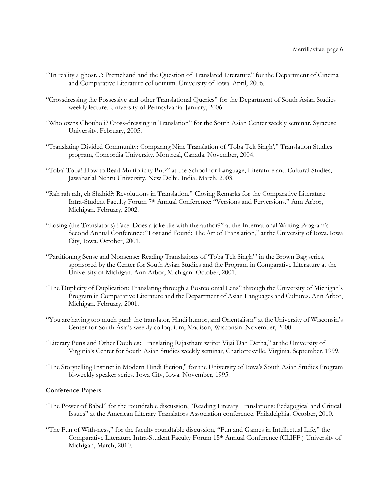- "'In reality a ghost...': Premchand and the Question of Translated Literature" for the Department of Cinema and Comparative Literature colloquium. University of Iowa. April, 2006.
- "Crossdressing the Possessive and other Translational Queries" for the Department of South Asian Studies weekly lecture. University of Pennsylvania. January, 2006.
- "Who owns Chouboli? Cross-dressing in Translation" for the South Asian Center weekly seminar. Syracuse University. February, 2005.
- "Translating Divided Community: Comparing Nine Translation of 'Toba Tek Singh'," Translation Studies program, Concordia University. Montreal, Canada. November, 2004.
- "Toba! Toba! How to Read Multiplicity But?" at the School for Language, Literature and Cultural Studies, Jawaharlal Nehru University. New Delhi, India. March, 2003.
- "Rah rah rah, eh Shahid?: Revolutions in Translation," Closing Remarks for the Comparative Literature Intra-Student Faculty Forum 7th Annual Conference: "Versions and Perversions." Ann Arbor, Michigan. February, 2002.
- "Losing (the Translator's) Face: Does a joke die with the author?" at the International Writing Program's Second Annual Conference: "Lost and Found: The Art of Translation," at the University of Iowa. Iowa City, Iowa. October, 2001.
- "Partitioning Sense and Nonsense: Reading Translations of 'Toba Tek Singh'" in the Brown Bag series, sponsored by the Center for South Asian Studies and the Program in Comparative Literature at the University of Michigan. Ann Arbor, Michigan. October, 2001.
- "The Duplicity of Duplication: Translating through a Postcolonial Lens" through the University of Michigan's Program in Comparative Literature and the Department of Asian Languages and Cultures. Ann Arbor, Michigan. February, 2001.
- "You are having too much pun!: the translator, Hindi humor, and Orientalism" at the University of Wisconsin's Center for South Asia's weekly colloquium, Madison, Wisconsin. November, 2000.
- "Literary Puns and Other Doubles: Translating Rajasthani writer Vijai Dan Detha," at the University of Virginia's Center for South Asian Studies weekly seminar, Charlottesville, Virginia. September, 1999.
- "The Storytelling Instinct in Modern Hindi Fiction," for the University of Iowa's South Asian Studies Program bi-weekly speaker series. Iowa City, Iowa. November, 1995.

### **Conference Papers**

- "The Power of Babel" for the roundtable discussion, "Reading Literary Translations: Pedagogical and Critical Issues" at the American Literary Translators Association conference. Philadelphia. October, 2010.
- "The Fun of With-ness," for the faculty roundtable discussion, "Fun and Games in Intellectual Life," the Comparative Literature Intra-Student Faculty Forum 15th Annual Conference (CLIFF.) University of Michigan, March, 2010.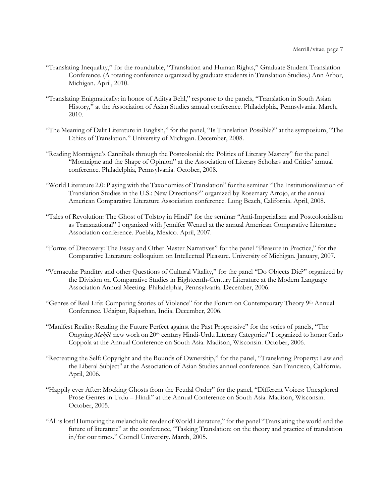- "Translating Inequality," for the roundtable, "Translation and Human Rights," Graduate Student Translation Conference. (A rotating conference organized by graduate students in Translation Studies.) Ann Arbor, Michigan. April, 2010.
- "Translating Enigmatically: in honor of Aditya Behl," response to the panels, "Translation in South Asian History," at the Association of Asian Studies annual conference. Philadelphia, Pennsylvania. March, 2010.
- "The Meaning of Dalit Literature in English," for the panel, "Is Translation Possible?" at the symposium, "The Ethics of Translation." University of Michigan. December, 2008.
- "Reading Montaigne's Cannibals through the Postcolonial: the Politics of Literary Mastery" for the panel "Montaigne and the Shape of Opinion" at the Association of Literary Scholars and Critics' annual conference. Philadelphia, Pennsylvania. October, 2008.
- "World Literature 2.0: Playing with the Taxonomies of Translation" for the seminar "The Institutionalization of Translation Studies in the U.S.: New Directions?" organized by Rosemary Arrojo, at the annual American Comparative Literature Association conference. Long Beach, California. April, 2008.
- "Tales of Revolution: The Ghost of Tolstoy in Hindi" for the seminar "Anti-Imperialism and Postcolonialism as Transnational" I organized with Jennifer Wenzel at the annual American Comparative Literature Association conference. Puebla, Mexico. April, 2007.
- "Forms of Discovery: The Essay and Other Master Narratives" for the panel "Pleasure in Practice," for the Comparative Literature colloquium on Intellectual Pleasure. University of Michigan. January, 2007.
- "Vernacular Panditry and other Questions of Cultural Vitality," for the panel "Do Objects Die?" organized by the Division on Comparative Studies in Eighteenth-Century Literature at the Modern Language Association Annual Meeting. Philadelphia, Pennsylvania. December, 2006.
- "Genres of Real Life: Comparing Stories of Violence" for the Forum on Contemporary Theory 9th Annual Conference. Udaipur, Rajasthan, India. December, 2006.
- "Manifest Reality: Reading the Future Perfect against the Past Progressive" for the series of panels, "The Ongoing *Mahfil*: new work on 20<sup>th</sup> century Hindi-Urdu Literary Categories" I organized to honor Carlo Coppola at the Annual Conference on South Asia. Madison, Wisconsin. October, 2006.
- "Recreating the Self: Copyright and the Bounds of Ownership," for the panel, "Translating Property: Law and the Liberal Subject" at the Association of Asian Studies annual conference. San Francisco, California. April, 2006.
- "Happily ever After: Mocking Ghosts from the Feudal Order" for the panel, "Different Voices: Unexplored Prose Genres in Urdu – Hindi" at the Annual Conference on South Asia. Madison, Wisconsin. October, 2005.
- "All is lost! Humoring the melancholic reader of World Literature," for the panel "Translating the world and the future of literature" at the conference, "Tasking Translation: on the theory and practice of translation in/for our times." Cornell University. March, 2005.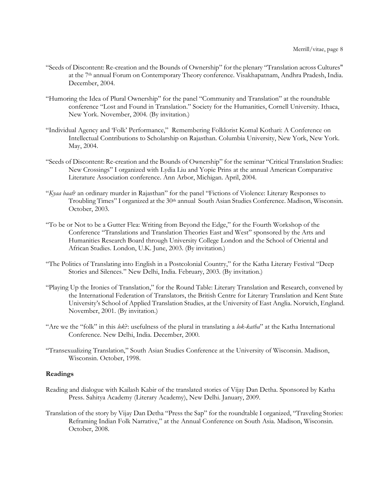- "Seeds of Discontent: Re-creation and the Bounds of Ownership" for the plenary "Translation across Cultures" at the 7th annual Forum on Contemporary Theory conference. Visakhapatnam, Andhra Pradesh, India. December, 2004.
- "Humoring the Idea of Plural Ownership" for the panel "Community and Translation" at the roundtable conference "Lost and Found in Translation." Society for the Humanities, Cornell University. Ithaca, New York. November, 2004. (By invitation.)
- "Individual Agency and 'Folk' Performance," Remembering Folklorist Komal Kothari: A Conference on Intellectual Contributions to Scholarship on Rajasthan. Columbia University, New York, New York. May, 2004.
- "Seeds of Discontent: Re-creation and the Bounds of Ownership" for the seminar "Critical Translation Studies: New Crossings" I organized with Lydia Liu and Yopie Prins at the annual American Comparative Literature Association conference. Ann Arbor, Michigan. April, 2004.
- "*Kyaa baat*? an ordinary murder in Rajasthan" for the panel "Fictions of Violence: Literary Responses to Troubling Times" I organized at the 30<sup>th</sup> annual South Asian Studies Conference. Madison, Wisconsin. October, 2003.
- "To be or Not to be a Gutter Flea: Writing from Beyond the Edge," for the Fourth Workshop of the Conference "Translations and Translation Theories East and West" sponsored by the Arts and Humanities Research Board through University College London and the School of Oriental and African Studies. London, U.K. June, 2003. (By invitation.)
- "The Politics of Translating into English in a Postcolonial Country," for the Katha Literary Festival "Deep Stories and Silences." New Delhi, India. February, 2003. (By invitation.)
- "Playing Up the Ironies of Translation," for the Round Table: Literary Translation and Research, convened by the International Federation of Translators, the British Centre for Literary Translation and Kent State University's School of Applied Translation Studies, at the University of East Anglia. Norwich, England. November, 2001. (By invitation.)
- "Are we the "folk" in this *lok*?: usefulness of the plural in translating a *lok-katha*" at the Katha International Conference. New Delhi, India. December, 2000.
- "Transexualizing Translation," South Asian Studies Conference at the University of Wisconsin. Madison, Wisconsin. October, 1998.

## **Readings**

- Reading and dialogue with Kailash Kabir of the translated stories of Vijay Dan Detha. Sponsored by Katha Press. Sahitya Academy (Literary Academy), New Delhi. January, 2009.
- Translation of the story by Vijay Dan Detha "Press the Sap" for the roundtable I organized, "Traveling Stories: Reframing Indian Folk Narrative," at the Annual Conference on South Asia. Madison, Wisconsin. October, 2008.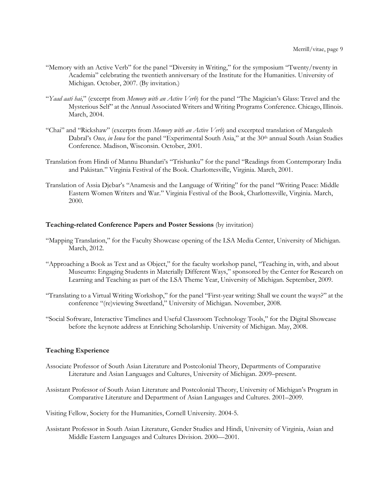- "Memory with an Active Verb" for the panel "Diversity in Writing," for the symposium "Twenty/twenty in Academia" celebrating the twentieth anniversary of the Institute for the Humanities. University of Michigan. October, 2007. (By invitation.)
- "*Yaad aati hai,*" (excerpt from *Memory with an Active Verb*) for the panel "The Magician's Glass: Travel and the Mysterious Self" at the Annual Associated Writers and Writing Programs Conference. Chicago, Illinois. March, 2004.
- "Chai" and "Rickshaw" (excerpts from *Memory with an Active Verb*) and excerpted translation of Mangalesh Dabral's *Once, in Iowa* for the panel "Experimental South Asia," at the 30<sup>th</sup> annual South Asian Studies Conference. Madison, Wisconsin. October, 2001.
- Translation from Hindi of Mannu Bhandari's "Trishanku" for the panel "Readings from Contemporary India and Pakistan." Virginia Festival of the Book. Charlottesville, Virginia. March, 2001.
- Translation of Assia Djebar's "Anamesis and the Language of Writing" for the panel "Writing Peace: Middle Eastern Women Writers and War." Virginia Festival of the Book, Charlottesville, Virginia. March, 2000.

#### **Teaching-related Conference Papers and Poster Sessions** (by invitation)

- "Mapping Translation," for the Faculty Showcase opening of the LSA Media Center, University of Michigan. March, 2012.
- "Approaching a Book as Text and as Object," for the faculty workshop panel, "Teaching in, with, and about Museums: Engaging Students in Materially Different Ways," sponsored by the Center for Research on Learning and Teaching as part of the LSA Theme Year, University of Michigan. September, 2009.
- "Translating to a Virtual Writing Workshop," for the panel "First-year writing: Shall we count the ways?" at the conference "(re)viewing Sweetland," University of Michigan. November, 2008.
- "Social Software, Interactive Timelines and Useful Classroom Technology Tools," for the Digital Showcase before the keynote address at Enriching Scholarship. University of Michigan. May, 2008.

#### **Teaching Experience**

- Associate Professor of South Asian Literature and Postcolonial Theory, Departments of Comparative Literature and Asian Languages and Cultures, University of Michigan. 2009–present.
- Assistant Professor of South Asian Literature and Postcolonial Theory, University of Michigan's Program in Comparative Literature and Department of Asian Languages and Cultures. 2001–2009.

Visiting Fellow, Society for the Humanities, Cornell University. 2004-5.

Assistant Professor in South Asian Literature, Gender Studies and Hindi, University of Virginia, Asian and Middle Eastern Languages and Cultures Division. 2000—2001.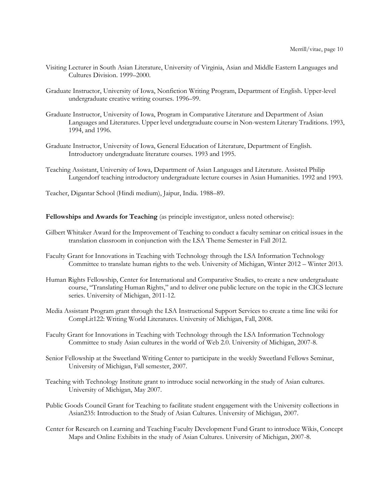- Visiting Lecturer in South Asian Literature, University of Virginia, Asian and Middle Eastern Languages and Cultures Division. 1999–2000.
- Graduate Instructor, University of Iowa, Nonfiction Writing Program, Department of English. Upper-level undergraduate creative writing courses. 1996–99.
- Graduate Instructor, University of Iowa, Program in Comparative Literature and Department of Asian Languages and Literatures. Upper level undergraduate course in Non-western Literary Traditions. 1993, 1994, and 1996.
- Graduate Instructor, University of Iowa, General Education of Literature, Department of English. Introductory undergraduate literature courses. 1993 and 1995.
- Teaching Assistant, University of Iowa, Department of Asian Languages and Literature. Assisted Philip Lutgendorf teaching introductory undergraduate lecture courses in Asian Humanities. 1992 and 1993.

Teacher, Digantar School (Hindi medium), Jaipur, India. 1988–89.

**Fellowships and Awards for Teaching** (as principle investigator, unless noted otherwise):

- Gilbert Whitaker Award for the Improvement of Teaching to conduct a faculty seminar on critical issues in the translation classroom in conjunction with the LSA Theme Semester in Fall 2012.
- Faculty Grant for Innovations in Teaching with Technology through the LSA Information Technology Committee to translate human rights to the web. University of Michigan, Winter 2012 – Winter 2013.
- Human Rights Fellowship, Center for International and Comparative Studies, to create a new undergraduate course, "Translating Human Rights," and to deliver one public lecture on the topic in the CICS lecture series. University of Michigan, 2011-12.
- Media Assistant Program grant through the LSA Instructional Support Services to create a time line wiki for CompLit122: Writing World Literatures. University of Michigan, Fall, 2008.
- Faculty Grant for Innovations in Teaching with Technology through the LSA Information Technology Committee to study Asian cultures in the world of Web 2.0. University of Michigan, 2007-8.
- Senior Fellowship at the Sweetland Writing Center to participate in the weekly Sweetland Fellows Seminar, University of Michigan, Fall semester, 2007.
- Teaching with Technology Institute grant to introduce social networking in the study of Asian cultures. University of Michigan, May 2007.
- Public Goods Council Grant for Teaching to facilitate student engagement with the University collections in Asian235: Introduction to the Study of Asian Cultures. University of Michigan, 2007.
- Center for Research on Learning and Teaching Faculty Development Fund Grant to introduce Wikis, Concept Maps and Online Exhibits in the study of Asian Cultures. University of Michigan, 2007-8.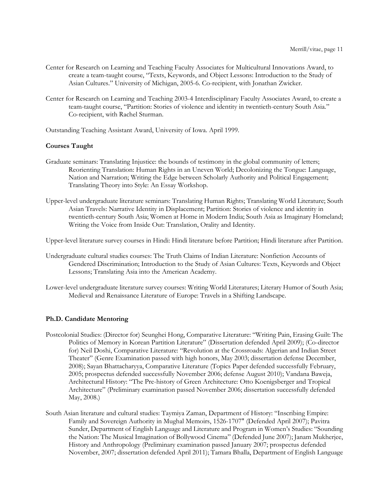- Center for Research on Learning and Teaching Faculty Associates for Multicultural Innovations Award, to create a team-taught course, "Texts, Keywords, and Object Lessons: Introduction to the Study of Asian Cultures." University of Michigan, 2005-6. Co-recipient, with Jonathan Zwicker.
- Center for Research on Learning and Teaching 2003-4 Interdisciplinary Faculty Associates Award, to create a team-taught course, "Partition: Stories of violence and identity in twentieth-century South Asia." Co-recipient, with Rachel Sturman.
- Outstanding Teaching Assistant Award, University of Iowa. April 1999.

# **Courses Taught**

- Graduate seminars: Translating Injustice: the bounds of testimony in the global community of letters; Reorienting Translation: Human Rights in an Uneven World; Decolonizing the Tongue: Language, Nation and Narration; Writing the Edge between Scholarly Authority and Political Engagement; Translating Theory into Style: An Essay Workshop.
- Upper-level undergraduate literature seminars: Translating Human Rights; Translating World Literature; South Asian Travels: Narrative Identity in Displacement; Partition: Stories of violence and identity in twentieth-century South Asia; Women at Home in Modern India; South Asia as Imaginary Homeland; Writing the Voice from Inside Out: Translation, Orality and Identity.

Upper-level literature survey courses in Hindi: Hindi literature before Partition; Hindi literature after Partition.

- Undergraduate cultural studies courses: The Truth Claims of Indian Literature: Nonfiction Accounts of Gendered Discrimination; Introduction to the Study of Asian Cultures: Texts, Keywords and Object Lessons; Translating Asia into the American Academy.
- Lower-level undergraduate literature survey courses: Writing World Literatures; Literary Humor of South Asia; Medieval and Renaissance Literature of Europe: Travels in a Shifting Landscape.

### **Ph.D. Candidate Mentoring**

- Postcolonial Studies: (Director for) Seunghei Hong, Comparative Literature: "Writing Pain, Erasing Guilt: The Politics of Memory in Korean Partition Literature" (Dissertation defended April 2009); (Co-director for) Neil Doshi, Comparative Literature: "Revolution at the Crossroads: Algerian and Indian Street Theater" (Genre Examination passed with high honors, May 2003; dissertation defense December, 2008); Sayan Bhattacharyya, Comparative Literature (Topics Paper defended successfully February, 2005; prospectus defended successfully November 2006; defense August 2010); Vandana Baweja, Architectural History: "The Pre-history of Green Architecture: Otto Koenigsberger and Tropical Architecture" (Preliminary examination passed November 2006; dissertation successfully defended May, 2008.)
- South Asian literature and cultural studies: Taymiya Zaman, Department of History: "Inscribing Empire: Family and Sovereign Authority in Mughal Memoirs, 1526-1707" (Defended April 2007); Pavitra Sunder, Department of English Language and Literature and Program in Women's Studies: "Sounding the Nation: The Musical Imagination of Bollywood Cinema" (Defended June 2007); Janam Mukherjee, History and Anthropology (Preliminary examination passed January 2007; prospectus defended November, 2007; dissertation defended April 2011); Tamara Bhalla, Department of English Language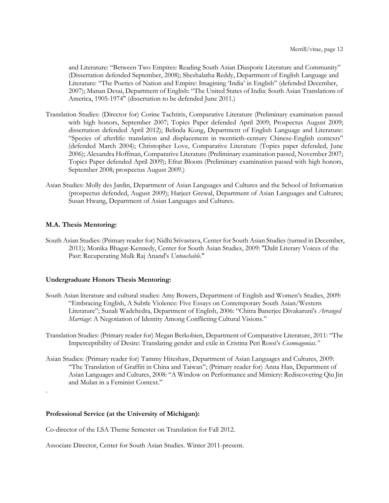and Literature: "Between Two Empires: Reading South Asian Diasporic Literature and Community" (Dissertation defended September, 2008); Sheshalatha Reddy, Department of English Language and Literature: "The Poetics of Nation and Empire: Imagining 'India' in English" (defended December, 2007); Manan Desai, Department of English: "The United States of India: South Asian Translations of America, 1905-1974" (dissertation to be defended June 2011.)

- Translation Studies: (Director for) Corine Tachtiris, Comparative Literature (Preliminary examination passed with high honors, September 2007; Topics Paper defended April 2009; Prospectus August 2009; dissertation defended April 2012); Belinda Kong, Department of English Language and Literature: "Species of afterlife: translation and displacement in twentieth-century Chinese-English contexts" (defended March 2004); Christopher Love, Comparative Literature (Topics paper defended, June 2006); Alexandra Hoffman, Comparative Literature (Preliminary examination passed, November 2007; Topics Paper defended April 2009); Efrat Bloom (Preliminary examination passed with high honors, September 2008; prospectus August 2009.)
- Asian Studies: Molly des Jardin, Department of Asian Languages and Cultures and the School of Information (prospectus defended, August 2009); Harjeet Grewal, Department of Asian Languages and Cultures; Susan Hwang, Department of Asian Languages and Cultures.

### **M.A. Thesis Mentoring:**

.

South Asian Studies: (Primary reader for) Nidhi Srivastava, Center for South Asian Studies (turned in December, 2011); Monika Bhagat-Kennedy, Center for South Asian Studies, 2009: "Dalit Literary Voices of the Past: Recuperating Mulk Raj Anand's *Untouchable*."

## **Undergraduate Honors Thesis Mentoring:**

- South Asian literature and cultural studies: Amy Bowers, Department of English and Women's Studies, 2009: "Embracing English, A Subtle Violence: Five Essays on Contemporary South Asian/Western Literature"; Sunali Wadehedra, Department of English, 2006: "Chitra Banerjee Divakaruni's *Arranged Marriage*: A Negotiation of Identity Among Conflicting Cultural Visions."
- Translation Studies: (Primary reader for) Megan Berkobien, Department of Comparative Literature, 2011: "The Imperceptibility of Desire: Translating gender and exile in Cristina Peri Rossi's *Cosmoagonias."*
- Asian Studies: (Primary reader for) Tammy Hiteshaw, Department of Asian Languages and Cultures, 2009: "The Translation of Graffiti in China and Taiwan"; (Primary reader for) Anna Han, Department of Asian Languages and Cultures, 2008: "A Window on Performance and Mimicry: Rediscovering Qiu Jin and Mulan in a Feminist Context."

### **Professional Service (at the University of Michigan):**

Co-director of the LSA Theme Semester on Translation for Fall 2012.

Associate Director, Center for South Asian Studies. Winter 2011-present.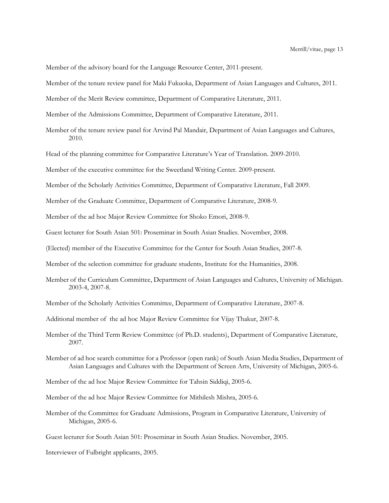Member of the advisory board for the Language Resource Center, 2011-present.

Member of the tenure review panel for Maki Fukuoka, Department of Asian Languages and Cultures, 2011.

Member of the Merit Review committee, Department of Comparative Literature, 2011.

Member of the Admissions Committee, Department of Comparative Literature, 2011.

Member of the tenure review panel for Arvind Pal Mandair, Department of Asian Languages and Cultures, 2010.

Head of the planning committee for Comparative Literature's Year of Translation. 2009-2010.

Member of the executive committee for the Sweetland Writing Center. 2009-present.

Member of the Scholarly Activities Committee, Department of Comparative Literature, Fall 2009.

Member of the Graduate Committee, Department of Comparative Literature, 2008-9.

Member of the ad hoc Major Review Committee for Shoko Emori, 2008-9.

Guest lecturer for South Asian 501: Proseminar in South Asian Studies. November, 2008.

(Elected) member of the Executive Committee for the Center for South Asian Studies, 2007-8.

Member of the selection committee for graduate students, Institute for the Humanities, 2008.

Member of the Curriculum Committee, Department of Asian Languages and Cultures, University of Michigan. 2003-4, 2007-8.

Member of the Scholarly Activities Committee, Department of Comparative Literature, 2007-8.

Additional member of the ad hoc Major Review Committee for Vijay Thakur, 2007-8.

Member of the Third Term Review Committee (of Ph.D. students), Department of Comparative Literature, 2007.

Member of ad hoc search committee for a Professor (open rank) of South Asian Media Studies, Department of Asian Languages and Cultures with the Department of Screen Arts, University of Michigan, 2005-6.

Member of the ad hoc Major Review Committee for Tahsin Siddiqi, 2005-6.

Member of the ad hoc Major Review Committee for Mithilesh Mishra, 2005-6.

Member of the Committee for Graduate Admissions, Program in Comparative Literature, University of Michigan, 2005-6.

Guest lecturer for South Asian 501: Proseminar in South Asian Studies. November, 2005.

Interviewer of Fulbright applicants, 2005.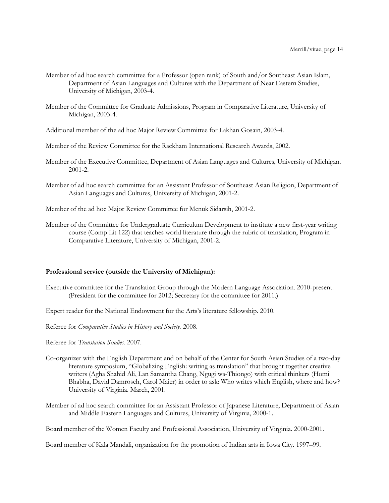- Member of ad hoc search committee for a Professor (open rank) of South and/or Southeast Asian Islam, Department of Asian Languages and Cultures with the Department of Near Eastern Studies, University of Michigan, 2003-4.
- Member of the Committee for Graduate Admissions, Program in Comparative Literature, University of Michigan, 2003-4.
- Additional member of the ad hoc Major Review Committee for Lakhan Gosain, 2003-4.
- Member of the Review Committee for the Rackham International Research Awards, 2002.
- Member of the Executive Committee, Department of Asian Languages and Cultures, University of Michigan. 2001-2.
- Member of ad hoc search committee for an Assistant Professor of Southeast Asian Religion, Department of Asian Languages and Cultures, University of Michigan, 2001-2.

Member of the ad hoc Major Review Committee for Menuk Sidarsih, 2001-2.

Member of the Committee for Undergraduate Curriculum Development to institute a new first-year writing course (Comp Lit 122) that teaches world literature through the rubric of translation, Program in Comparative Literature, University of Michigan, 2001-2.

## **Professional service (outside the University of Michigan):**

- Executive committee for the Translation Group through the Modern Language Association. 2010-present. (President for the committee for 2012; Secretary for the committee for 2011.)
- Expert reader for the National Endowment for the Arts's literature fellowship. 2010.

Referee for *Comparative Studies in History and Society.* 2008.

- Referee for *Translation Studies.* 2007.
- Co-organizer with the English Department and on behalf of the Center for South Asian Studies of a two-day literature symposium, "Globalizing English: writing as translation" that brought together creative writers (Agha Shahid Ali, Lan Samantha Chang, Ngugi wa-Thiongo) with critical thinkers (Homi Bhabha, David Damrosch, Carol Maier) in order to ask: Who writes which English, where and how? University of Virginia. March, 2001.
- Member of ad hoc search committee for an Assistant Professor of Japanese Literature, Department of Asian and Middle Eastern Languages and Cultures, University of Virginia, 2000-1.

Board member of the Women Faculty and Professional Association, University of Virginia. 2000-2001.

Board member of Kala Mandali, organization for the promotion of Indian arts in Iowa City. 1997–99.